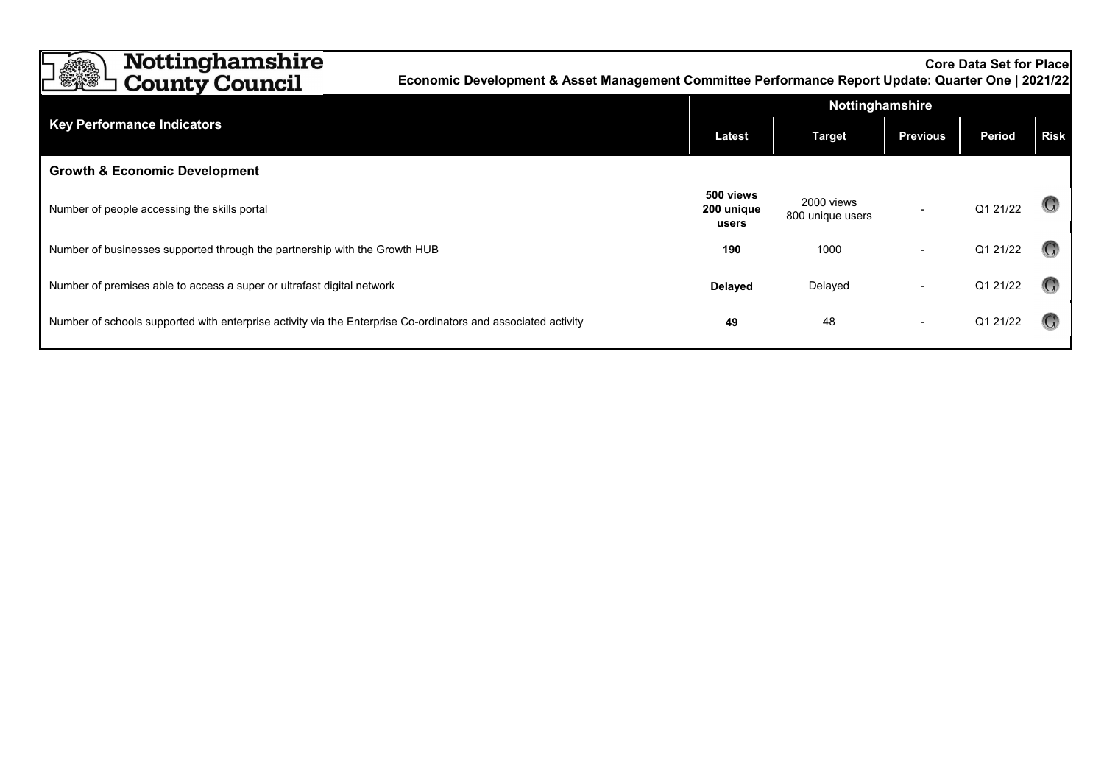| <b>Nottinghamshire</b><br><b>County Council</b>                                                               | <b>Core Data Set for Placel</b><br>Economic Development & Asset Management Committee Performance Report Update: Quarter One   2021/22 |                                  |                                |                 |               |             |  |
|---------------------------------------------------------------------------------------------------------------|---------------------------------------------------------------------------------------------------------------------------------------|----------------------------------|--------------------------------|-----------------|---------------|-------------|--|
|                                                                                                               |                                                                                                                                       | <b>Nottinghamshire</b>           |                                |                 |               |             |  |
| <b>Key Performance Indicators</b>                                                                             |                                                                                                                                       | <b>Latest</b>                    | <b>Target</b>                  | <b>Previous</b> | <b>Period</b> | <b>Risk</b> |  |
| <b>Growth &amp; Economic Development</b>                                                                      |                                                                                                                                       |                                  |                                |                 |               |             |  |
| Number of people accessing the skills portal                                                                  |                                                                                                                                       | 500 views<br>200 unique<br>users | 2000 views<br>800 unique users |                 | Q1 21/22      |             |  |
| Number of businesses supported through the partnership with the Growth HUB                                    |                                                                                                                                       | 190                              | 1000                           |                 | Q1 21/22      |             |  |
| Number of premises able to access a super or ultrafast digital network                                        |                                                                                                                                       | <b>Delayed</b>                   | Delayed                        |                 | Q1 21/22      |             |  |
| Number of schools supported with enterprise activity via the Enterprise Co-ordinators and associated activity |                                                                                                                                       | 49                               | 48                             |                 | Q1 21/22      |             |  |